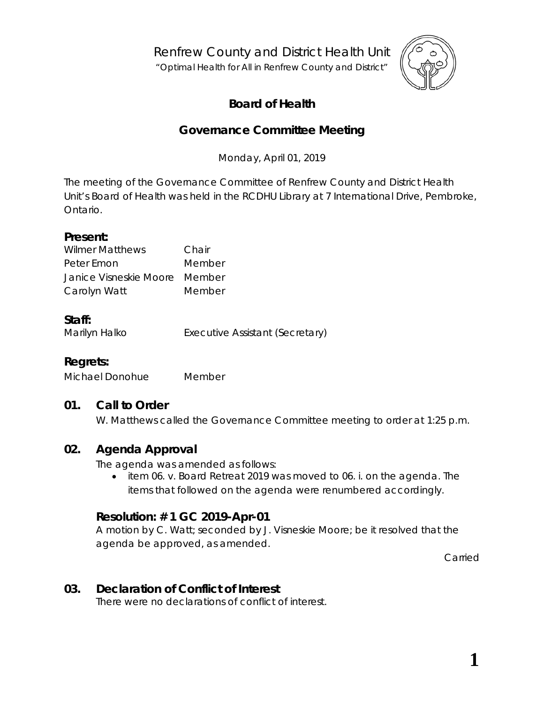Renfrew County and District Health Unit

"*Optimal Health for All in Renfrew County and District"*



# **Board of Health**

## **Governance Committee Meeting**

Monday, April 01, 2019

The meeting of the Governance Committee of Renfrew County and District Health Unit's Board of Health was held in the RCDHU Library at 7 International Drive, Pembroke, Ontario.

#### **Present:**

| <b>Wilmer Matthews</b>        | Chair  |
|-------------------------------|--------|
| Peter Emon                    | Member |
| Janice Visneskie Moore Member |        |
| Carolyn Watt                  | Member |

## **Staff:**

Marilyn Halko **Executive Assistant (Secretary)** 

## **Regrets:**

Michael Donohue Member

## **01. Call to Order**

W. Matthews called the Governance Committee meeting to order at 1:25 p.m.

## **02. Agenda Approval**

The agenda was amended as follows:

• item 06. v. Board Retreat 2019 was moved to 06. i. on the agenda. The items that followed on the agenda were renumbered accordingly.

#### **Resolution: # 1 GC 2019-Apr-01**

A motion by C. Watt; seconded by J. Visneskie Moore; be it resolved that the agenda be approved, as amended.

Carried

## **03. Declaration of Conflict of Interest**

There were no declarations of conflict of interest.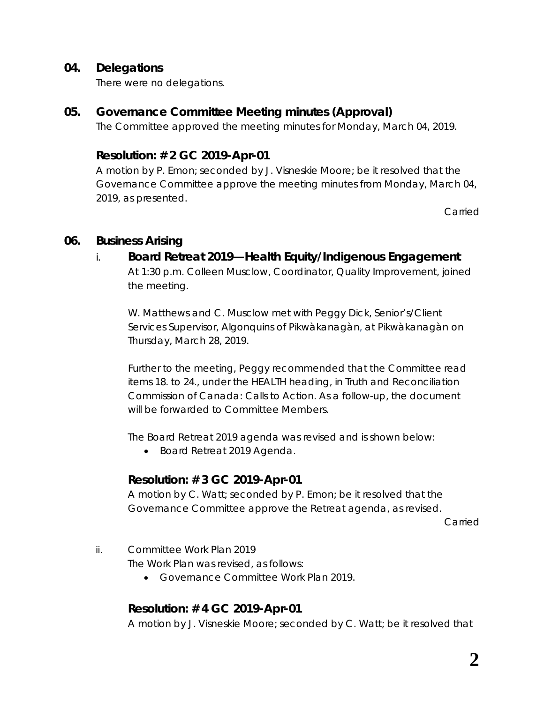#### **04. Delegations**

There were no delegations.

#### **05. Governance Committee Meeting minutes (Approval)**

The Committee approved the meeting minutes for Monday, March 04, 2019.

#### **Resolution: # 2 GC 2019-Apr-01**

A motion by P. Emon; seconded by J. Visneskie Moore; be it resolved that the Governance Committee approve the meeting minutes from Monday, March 04, 2019, as presented.

Carried

#### **06. Business Arising**

#### i. **Board Retreat 2019—Health Equity/Indigenous Engagement**

At 1:30 p.m. Colleen Musclow, Coordinator, Quality Improvement, joined the meeting.

W. Matthews and C. Musclow met with Peggy Dick, Senior's/Client Services Supervisor, Algonquins of Pikwàkanagàn, at Pikwàkanagàn on Thursday, March 28, 2019.

Further to the meeting, Peggy recommended that the Committee read items 18. to 24., under the HEALTH heading, in *Truth and [Reconciliation](https://portal.rcdhu.com/wp-content/uploads/2019/04/Truth-and-Reconciliation-Commission-of-Canada-Calls-to-Action.pdf) Commission of [Canada: Calls to Action](https://portal.rcdhu.com/wp-content/uploads/2019/04/Truth-and-Reconciliation-Commission-of-Canada-Calls-to-Action.pdf)*. As a follow-up, the document will be forwarded to Committee Members.

The Board Retreat 2019 agenda was revised and is shown below:

• *[Board Retreat](https://portal.rcdhu.com/wp-content/uploads/2019/03/06.-v.-Board-Retreat-2019-Agenda-revised-2019-Mar-29.pdf) 2019 Agenda*.

#### **Resolution: # 3 GC 2019-Apr-01**

A motion by C. Watt; seconded by P. Emon; be it resolved that the Governance Committee approve the Retreat agenda, as revised.

Carried

ii. Committee Work Plan 2019

The Work Plan was revised, as follows:

• *[Governance Committee Work Plan 2019.](https://portal.rcdhu.com/wp-content/uploads/2019/04/Governance-Committee-Work-Plan-2019-Draft-2019-Apr-01-revised-again-after-meeting.pdf)* 

## **Resolution: # 4 GC 2019-Apr-01**

A motion by J. Visneskie Moore; seconded by C. Watt; be it resolved that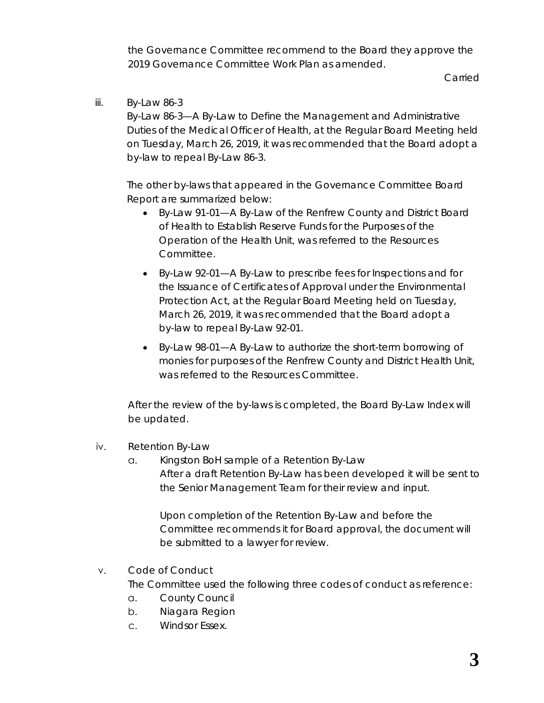the Governance Committee recommend to the Board they approve the 2019 Governance Committee Work Plan as amended.

Carried

#### iii. By-Law 86-3

*By-Law 86-3*—A By-Law to Define the Management and Administrative Duties of the Medical Officer of Health, at the Regular Board Meeting held on Tuesday, March 26, 2019, it was recommended that the Board adopt a by-law to repeal *By-Law 86-3*.

The other by-laws that appeared in the Governance Committee Board Report are summarized below:

- *By-Law 91-01*—A By-Law of the Renfrew County and District Board of Health to Establish Reserve Funds for the Purposes of the Operation of the Health Unit, was referred to the Resources Committee.
- *By-Law 92-01*—A By-Law to prescribe fees for Inspections and for the Issuance of Certificates of Approval under the Environmental Protection Act, at the Regular Board Meeting held on Tuesday, March 26, 2019, it was recommended that the Board adopt a by-law to repeal *By-Law 92-01*.
- *By-Law 98-01*—A By-Law to authorize the short-term borrowing of monies for purposes of the Renfrew County and District Health Unit, was referred to the Resources Committee.

After the review of the by-laws is completed, the Board By-Law Index will be updated.

- iv. Retention By-Law
	- a. [Kingston BoH](https://portal.rcdhu.com/wp-content/uploads/2019/02/Record-Retention-for-Board-of-Health-By-Law-for-Kingston.pdf) sample of a Retention By-Law After a draft Retention By-Law has been developed it will be sent to the Senior Management Team for their review and input.

Upon completion of the Retention By-Law and before the Committee recommends it for Board approval, the document will be submitted to a lawyer for review.

#### v. Code of Conduct

The Committee used the following three codes of conduct as reference:

- a. [County Council](https://portal.rcdhu.com/wp-content/uploads/2019/01/06.-x.-c.-Code-of-Conduct-County-of-Renfrew-Council.pdf)
- b. [Niagara Region](https://portal.rcdhu.com/wp-content/uploads/2019/01/Code-of-Conduct-Niagara-Region-Public-Health.pdf)
- c. [Windsor Essex.](https://portal.rcdhu.com/wp-content/uploads/2019/01/Code-of-Conduct-Windsor-Essex-County-Health-Unit.pdf)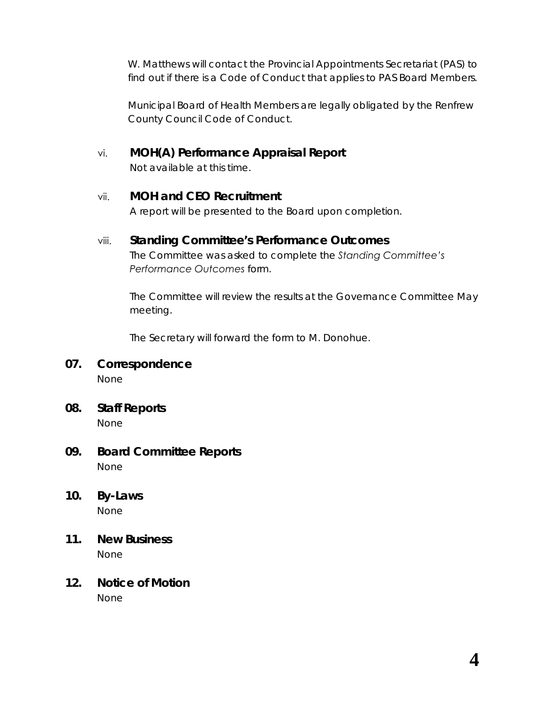W. Matthews will contact the Provincial Appointments Secretariat (PAS) to find out if there is a Code of Conduct that applies to PAS Board Members.

Municipal Board of Health Members are legally obligated by the Renfrew County Council Code of Conduct.

vi. **MOH(A) Performance Appraisal Report**

Not available at this time.

#### vii. **MOH and CEO Recruitment**

A report will be presented to the Board upon completion.

#### viii. **Standing Committee's Performance Outcomes**

The Committee was asked to complete the *[Standing Committee's](https://portal.rcdhu.com/wp-content/uploads/2019/03/06.-viii.-Standing-Committees-Performance-Outcomes.pdf)  [Performance Outcomes](https://portal.rcdhu.com/wp-content/uploads/2019/03/06.-viii.-Standing-Committees-Performance-Outcomes.pdf)* form.

The Committee will review the results at the Governance Committee May meeting.

The Secretary will forward the form to M. Donohue.

# **07. Correspondence**

None

- **08. Staff Reports** None
- **09. Board Committee Reports** None
- **10. By-Laws** None
- **11. New Business** None
- **12. Notice of Motion** None